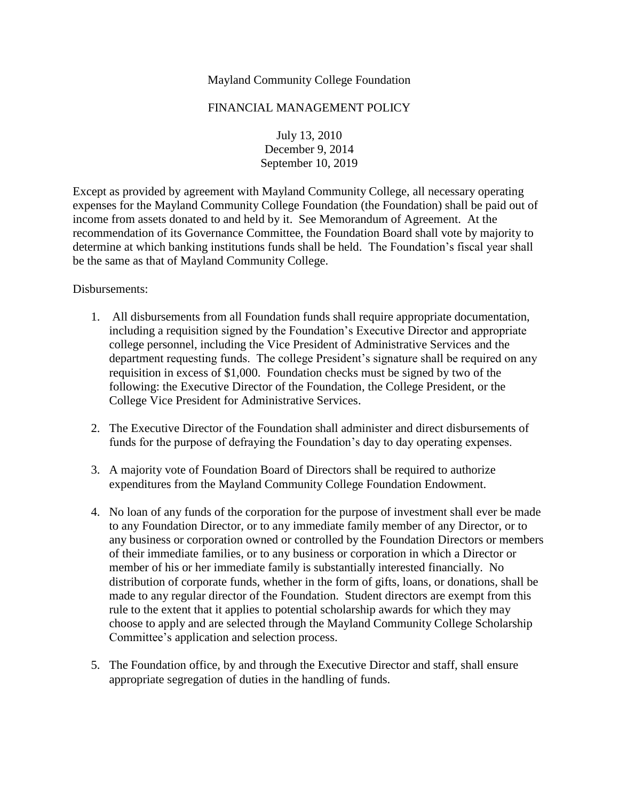## Mayland Community College Foundation

## FINANCIAL MANAGEMENT POLICY

July 13, 2010 December 9, 2014 September 10, 2019

Except as provided by agreement with Mayland Community College, all necessary operating expenses for the Mayland Community College Foundation (the Foundation) shall be paid out of income from assets donated to and held by it. See Memorandum of Agreement. At the recommendation of its Governance Committee, the Foundation Board shall vote by majority to determine at which banking institutions funds shall be held. The Foundation's fiscal year shall be the same as that of Mayland Community College.

## Disbursements:

- 1. All disbursements from all Foundation funds shall require appropriate documentation, including a requisition signed by the Foundation's Executive Director and appropriate college personnel, including the Vice President of Administrative Services and the department requesting funds. The college President's signature shall be required on any requisition in excess of \$1,000. Foundation checks must be signed by two of the following: the Executive Director of the Foundation, the College President, or the College Vice President for Administrative Services.
- 2. The Executive Director of the Foundation shall administer and direct disbursements of funds for the purpose of defraying the Foundation's day to day operating expenses.
- 3. A majority vote of Foundation Board of Directors shall be required to authorize expenditures from the Mayland Community College Foundation Endowment.
- 4. No loan of any funds of the corporation for the purpose of investment shall ever be made to any Foundation Director, or to any immediate family member of any Director, or to any business or corporation owned or controlled by the Foundation Directors or members of their immediate families, or to any business or corporation in which a Director or member of his or her immediate family is substantially interested financially. No distribution of corporate funds, whether in the form of gifts, loans, or donations, shall be made to any regular director of the Foundation. Student directors are exempt from this rule to the extent that it applies to potential scholarship awards for which they may choose to apply and are selected through the Mayland Community College Scholarship Committee's application and selection process.
- 5. The Foundation office, by and through the Executive Director and staff, shall ensure appropriate segregation of duties in the handling of funds.